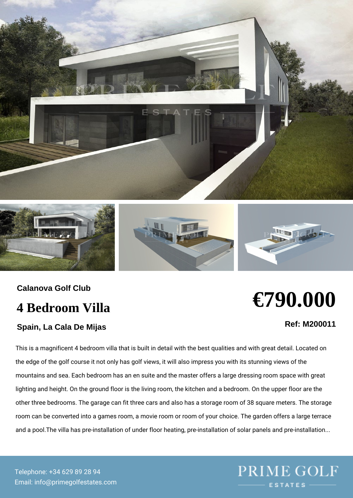Calanova Golf Club

### 4 Bedroom Villa

Spain, La Cala De Mijas

# €790.000

Ref: M200011

This is a magnificent 4 bedroom villa that is built in detail with the best qu the edge of the golf course it not only has golf views, it will also impress y mountains and sea. Each bedroom has an en suite and the master offers a I lighting and height. On the ground floor is the living room, the kitchen and other three bedrooms. The garage can fit three cars and also has a storage room can be converted into a games room, a movie room or room of your ch and a pool. The villa has pre-installation of under floor heating, pre-installa

Telepho+n3e4: 629 89 28 94 Emainfo@primegolfestates.com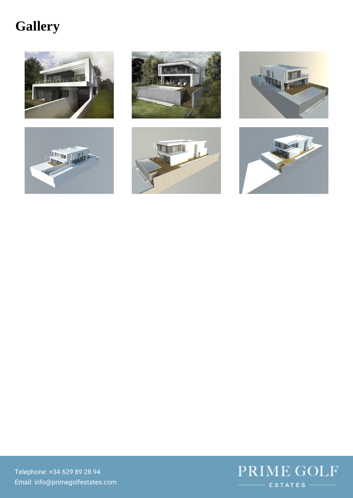## Gallery

Telephom3e4 629 89 28 94  $E\,m\,a\,i\,h\,f\,o\,\oslash\,p\,r\,i\,m\,e\,g\,o\,l\,f\,e\,s\,t\,a\,t\,e\,s\,.c\,o\,m$